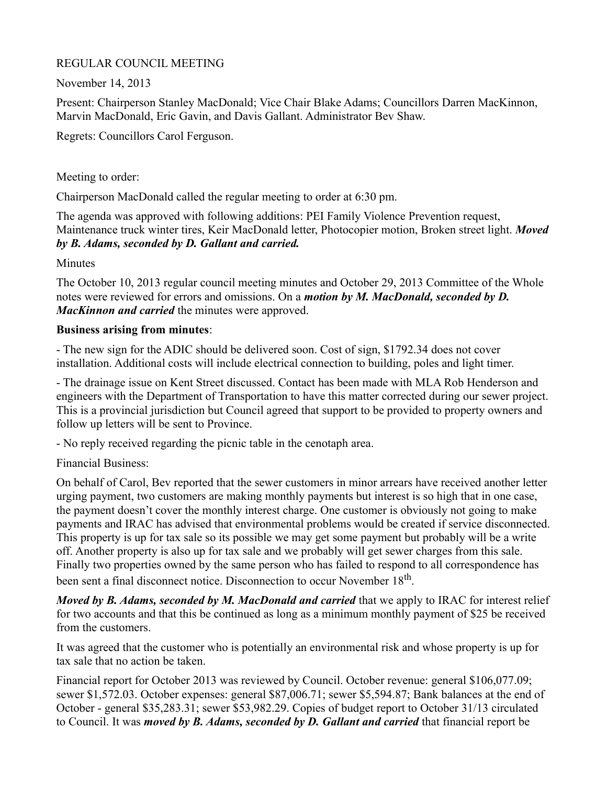## REGULAR COUNCIL MEETING

November 14, 2013

Present: Chairperson Stanley MacDonald; Vice Chair Blake Adams; Councillors Darren MacKinnon, Marvin MacDonald, Eric Gavin, and Davis Gallant. Administrator Bev Shaw.

Regrets: Councillors Carol Ferguson.

Meeting to order:

Chairperson MacDonald called the regular meeting to order at 6:30 pm.

The agenda was approved with following additions: PEI Family Violence Prevention request, Maintenance truck winter tires, Keir MacDonald letter, Photocopier motion, Broken street light. *Moved by B. Adams, seconded by D. Gallant and carried.*

**Minutes** 

The October 10, 2013 regular council meeting minutes and October 29, 2013 Committee of the Whole notes were reviewed for errors and omissions. On a *motion by M. MacDonald, seconded by D. MacKinnon and carried* the minutes were approved.

## **Business arising from minutes**:

- The new sign for the ADIC should be delivered soon. Cost of sign, \$1792.34 does not cover installation. Additional costs will include electrical connection to building, poles and light timer.

- The drainage issue on Kent Street discussed. Contact has been made with MLA Rob Henderson and engineers with the Department of Transportation to have this matter corrected during our sewer project. This is a provincial jurisdiction but Council agreed that support to be provided to property owners and follow up letters will be sent to Province.

- No reply received regarding the picnic table in the cenotaph area.

Financial Business:

On behalf of Carol, Bev reported that the sewer customers in minor arrears have received another letter urging payment, two customers are making monthly payments but interest is so high that in one case, the payment doesn't cover the monthly interest charge. One customer is obviously not going to make payments and IRAC has advised that environmental problems would be created if service disconnected. This property is up for tax sale so its possible we may get some payment but probably will be a write off. Another property is also up for tax sale and we probably will get sewer charges from this sale. Finally two properties owned by the same person who has failed to respond to all correspondence has been sent a final disconnect notice. Disconnection to occur November 18<sup>th</sup>.

*Moved by B. Adams, seconded by M. MacDonald and carried* that we apply to IRAC for interest relief for two accounts and that this be continued as long as a minimum monthly payment of \$25 be received from the customers.

It was agreed that the customer who is potentially an environmental risk and whose property is up for tax sale that no action be taken.

Financial report for October 2013 was reviewed by Council. October revenue: general \$106,077.09; sewer \$1,572.03. October expenses: general \$87,006.71; sewer \$5,594.87; Bank balances at the end of October - general \$35,283.31; sewer \$53,982.29. Copies of budget report to October 31/13 circulated to Council. It was *moved by B. Adams, seconded by D. Gallant and carried* that financial report be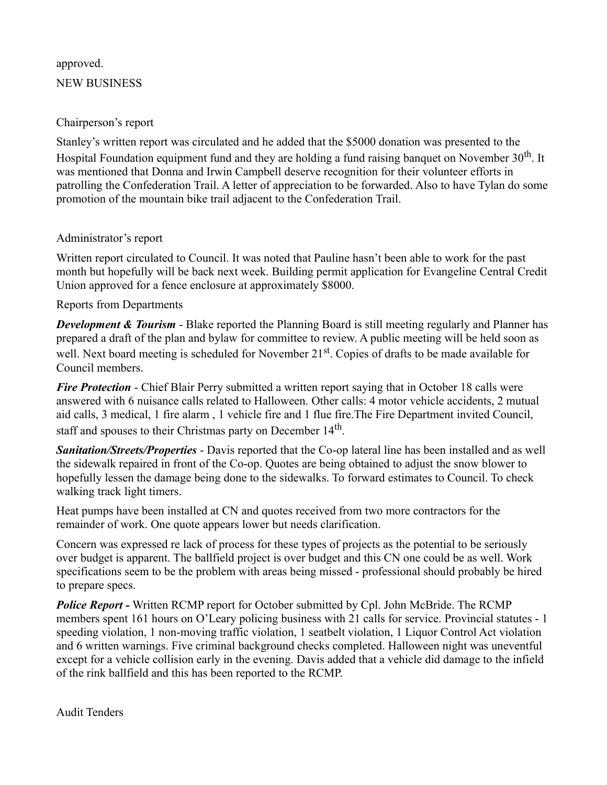# approved. NEW BUSINESS

#### Chairperson's report

Stanley's written report was circulated and he added that the \$5000 donation was presented to the Hospital Foundation equipment fund and they are holding a fund raising banquet on November  $30<sup>th</sup>$ . It was mentioned that Donna and Irwin Campbell deserve recognition for their volunteer efforts in patrolling the Confederation Trail. A letter of appreciation to be forwarded. Also to have Tylan do some promotion of the mountain bike trail adjacent to the Confederation Trail.

# Administrator's report

Written report circulated to Council. It was noted that Pauline hasn't been able to work for the past month but hopefully will be back next week. Building permit application for Evangeline Central Credit Union approved for a fence enclosure at approximately \$8000.

## Reports from Departments

*Development & Tourism* - Blake reported the Planning Board is still meeting regularly and Planner has prepared a draft of the plan and bylaw for committee to review. A public meeting will be held soon as well. Next board meeting is scheduled for November 21<sup>st</sup>. Copies of drafts to be made available for Council members.

*Fire Protection* - Chief Blair Perry submitted a written report saying that in October 18 calls were answered with 6 nuisance calls related to Halloween. Other calls: 4 motor vehicle accidents, 2 mutual aid calls, 3 medical, 1 fire alarm , 1 vehicle fire and 1 flue fire.The Fire Department invited Council, staff and spouses to their Christmas party on December 14<sup>th</sup>.

*Sanitation/Streets/Properties* - Davis reported that the Co-op lateral line has been installed and as well the sidewalk repaired in front of the Co-op. Quotes are being obtained to adjust the snow blower to hopefully lessen the damage being done to the sidewalks. To forward estimates to Council. To check walking track light timers.

Heat pumps have been installed at CN and quotes received from two more contractors for the remainder of work. One quote appears lower but needs clarification.

Concern was expressed re lack of process for these types of projects as the potential to be seriously over budget is apparent. The ballfield project is over budget and this CN one could be as well. Work specifications seem to be the problem with areas being missed - professional should probably be hired to prepare specs.

**Police Report - Written RCMP report for October submitted by Cpl. John McBride. The RCMP** members spent 161 hours on O'Leary policing business with 21 calls for service. Provincial statutes - 1 speeding violation, 1 non-moving traffic violation, 1 seatbelt violation, 1 Liquor Control Act violation and 6 written warnings. Five criminal background checks completed. Halloween night was uneventful except for a vehicle collision early in the evening. Davis added that a vehicle did damage to the infield of the rink ballfield and this has been reported to the RCMP.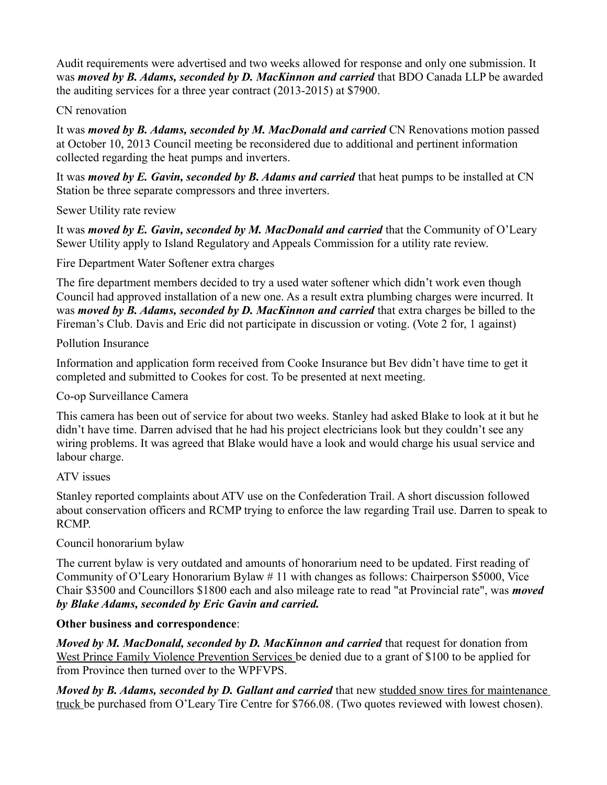Audit requirements were advertised and two weeks allowed for response and only one submission. It was *moved by B. Adams, seconded by D. MacKinnon and carried* that BDO Canada LLP be awarded the auditing services for a three year contract (2013-2015) at \$7900.

#### CN renovation

It was *moved by B. Adams, seconded by M. MacDonald and carried* CN Renovations motion passed at October 10, 2013 Council meeting be reconsidered due to additional and pertinent information collected regarding the heat pumps and inverters.

It was *moved by E. Gavin, seconded by B. Adams and carried* that heat pumps to be installed at CN Station be three separate compressors and three inverters.

Sewer Utility rate review

It was *moved by E. Gavin, seconded by M. MacDonald and carried* that the Community of O'Leary Sewer Utility apply to Island Regulatory and Appeals Commission for a utility rate review.

Fire Department Water Softener extra charges

The fire department members decided to try a used water softener which didn't work even though Council had approved installation of a new one. As a result extra plumbing charges were incurred. It was *moved by B. Adams, seconded by D. MacKinnon and carried* that extra charges be billed to the Fireman's Club. Davis and Eric did not participate in discussion or voting. (Vote 2 for, 1 against)

Pollution Insurance

Information and application form received from Cooke Insurance but Bev didn't have time to get it completed and submitted to Cookes for cost. To be presented at next meeting.

## Co-op Surveillance Camera

This camera has been out of service for about two weeks. Stanley had asked Blake to look at it but he didn't have time. Darren advised that he had his project electricians look but they couldn't see any wiring problems. It was agreed that Blake would have a look and would charge his usual service and labour charge.

# ATV issues

Stanley reported complaints about ATV use on the Confederation Trail. A short discussion followed about conservation officers and RCMP trying to enforce the law regarding Trail use. Darren to speak to RCMP.

# Council honorarium bylaw

The current bylaw is very outdated and amounts of honorarium need to be updated. First reading of Community of O'Leary Honorarium Bylaw # 11 with changes as follows: Chairperson \$5000, Vice Chair \$3500 and Councillors \$1800 each and also mileage rate to read "at Provincial rate", was *moved by Blake Adams, seconded by Eric Gavin and carried.*

# **Other business and correspondence**:

*Moved by M. MacDonald, seconded by D. MacKinnon and carried that request for donation from* West Prince Family Violence Prevention Services be denied due to a grant of \$100 to be applied for from Province then turned over to the WPFVPS.

*Moved by B. Adams, seconded by D. Gallant and carried* that new studded snow tires for maintenance truck be purchased from O'Leary Tire Centre for \$766.08. (Two quotes reviewed with lowest chosen).